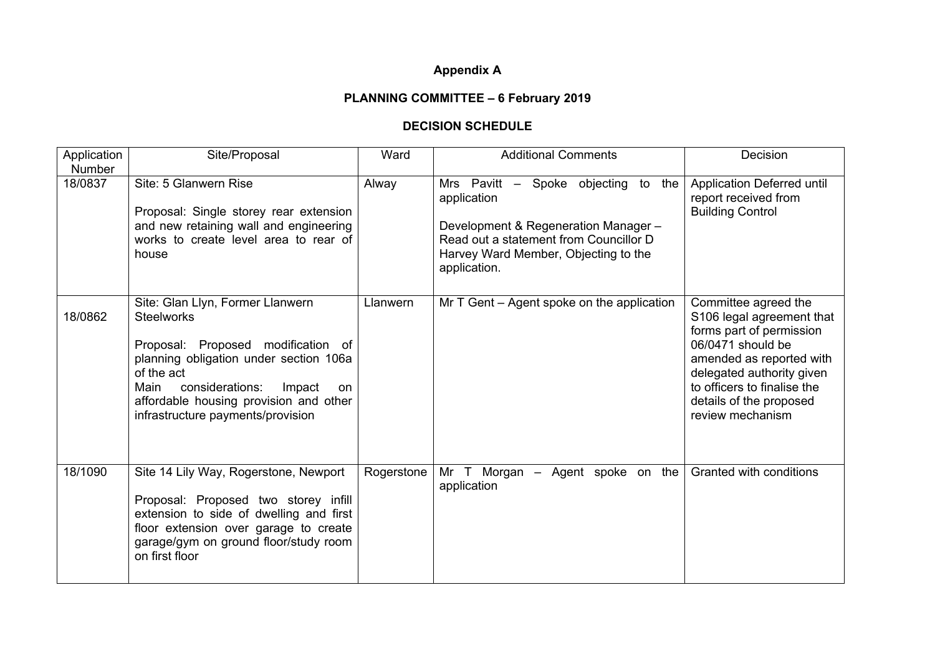## **Appendix A**

## **PLANNING COMMITTEE – 6 February 2019**

## **DECISION SCHEDULE**

| Application              | Site/Proposal                                                                                                                                                                                                                                                                 | Ward       | <b>Additional Comments</b>                                                                                                                                                                   | Decision                                                                                                                                                                                                                                  |
|--------------------------|-------------------------------------------------------------------------------------------------------------------------------------------------------------------------------------------------------------------------------------------------------------------------------|------------|----------------------------------------------------------------------------------------------------------------------------------------------------------------------------------------------|-------------------------------------------------------------------------------------------------------------------------------------------------------------------------------------------------------------------------------------------|
| <b>Number</b><br>18/0837 | Site: 5 Glanwern Rise<br>Proposal: Single storey rear extension<br>and new retaining wall and engineering<br>works to create level area to rear of<br>house                                                                                                                   | Alway      | Mrs Pavitt - Spoke objecting to the<br>application<br>Development & Regeneration Manager -<br>Read out a statement from Councillor D<br>Harvey Ward Member, Objecting to the<br>application. | Application Deferred until<br>report received from<br><b>Building Control</b>                                                                                                                                                             |
| 18/0862                  | Site: Glan Llyn, Former Llanwern<br><b>Steelworks</b><br>Proposal: Proposed modification of<br>planning obligation under section 106a<br>of the act<br>considerations:<br>Main<br>Impact<br>on<br>affordable housing provision and other<br>infrastructure payments/provision | Llanwern   | Mr $T$ Gent $-$ Agent spoke on the application                                                                                                                                               | Committee agreed the<br>S106 legal agreement that<br>forms part of permission<br>06/0471 should be<br>amended as reported with<br>delegated authority given<br>to officers to finalise the<br>details of the proposed<br>review mechanism |
| 18/1090                  | Site 14 Lily Way, Rogerstone, Newport<br>Proposal: Proposed two storey infill<br>extension to side of dwelling and first<br>floor extension over garage to create<br>garage/gym on ground floor/study room<br>on first floor                                                  | Rogerstone | Mr T Morgan - Agent spoke on the<br>application                                                                                                                                              | Granted with conditions                                                                                                                                                                                                                   |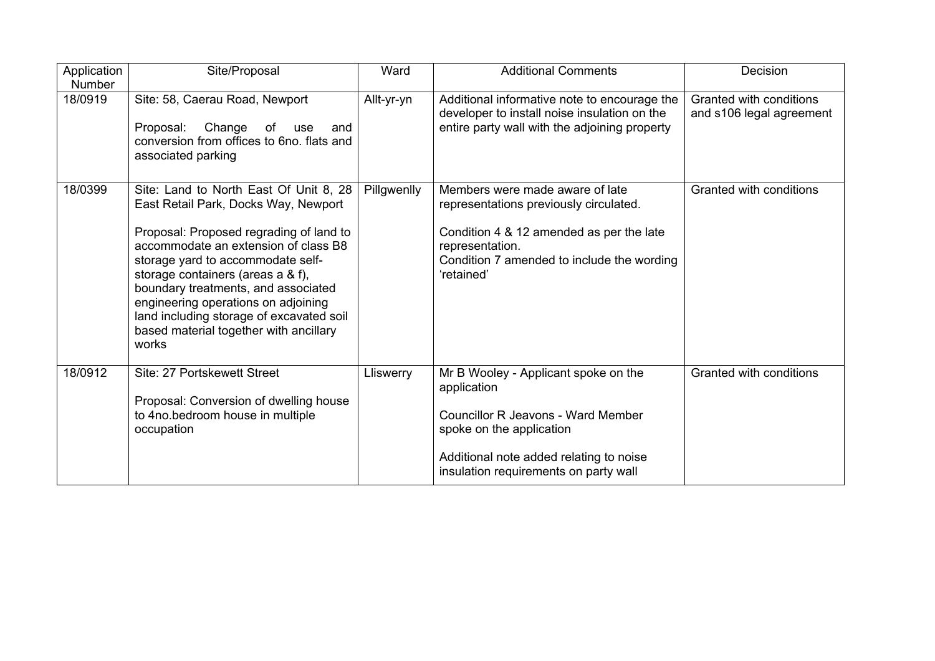| Application<br><b>Number</b> | Site/Proposal                                                                                                                                                                                                                                                                                                                                                                                                            | Ward        | <b>Additional Comments</b>                                                                                                                                                                                       | Decision                                            |
|------------------------------|--------------------------------------------------------------------------------------------------------------------------------------------------------------------------------------------------------------------------------------------------------------------------------------------------------------------------------------------------------------------------------------------------------------------------|-------------|------------------------------------------------------------------------------------------------------------------------------------------------------------------------------------------------------------------|-----------------------------------------------------|
| 18/0919                      | Site: 58, Caerau Road, Newport<br>Proposal:<br>Change of<br>use<br>and<br>conversion from offices to 6no. flats and<br>associated parking                                                                                                                                                                                                                                                                                | Allt-yr-yn  | Additional informative note to encourage the<br>developer to install noise insulation on the<br>entire party wall with the adjoining property                                                                    | Granted with conditions<br>and s106 legal agreement |
| 18/0399                      | Site: Land to North East Of Unit 8, 28<br>East Retail Park, Docks Way, Newport<br>Proposal: Proposed regrading of land to<br>accommodate an extension of class B8<br>storage yard to accommodate self-<br>storage containers (areas a & f),<br>boundary treatments, and associated<br>engineering operations on adjoining<br>land including storage of excavated soil<br>based material together with ancillary<br>works | Pillgwenlly | Members were made aware of late<br>representations previously circulated.<br>Condition 4 & 12 amended as per the late<br>representation.<br>Condition 7 amended to include the wording<br>'retained'             | Granted with conditions                             |
| 18/0912                      | Site: 27 Portskewett Street<br>Proposal: Conversion of dwelling house<br>to 4no.bedroom house in multiple<br>occupation                                                                                                                                                                                                                                                                                                  | Lliswerry   | Mr B Wooley - Applicant spoke on the<br>application<br><b>Councillor R Jeavons - Ward Member</b><br>spoke on the application<br>Additional note added relating to noise<br>insulation requirements on party wall | Granted with conditions                             |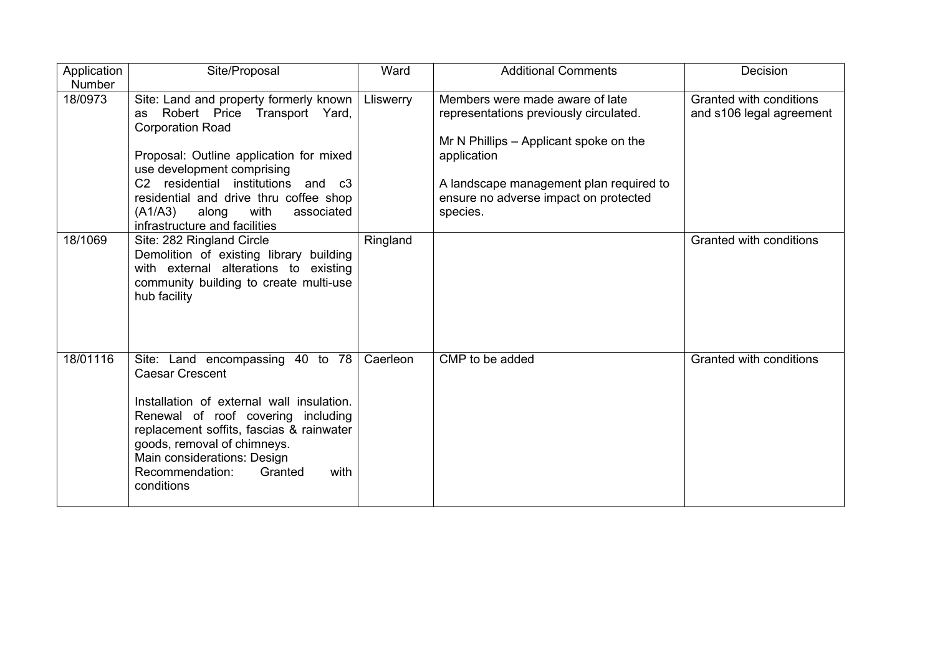| Application              | Site/Proposal                                                                                                                                                                                                                                                                                                                               | Ward      | <b>Additional Comments</b>                                                                                                                                                                                                         | Decision                                            |
|--------------------------|---------------------------------------------------------------------------------------------------------------------------------------------------------------------------------------------------------------------------------------------------------------------------------------------------------------------------------------------|-----------|------------------------------------------------------------------------------------------------------------------------------------------------------------------------------------------------------------------------------------|-----------------------------------------------------|
| <b>Number</b><br>18/0973 | Site: Land and property formerly known<br>Robert Price Transport Yard,<br>as<br><b>Corporation Road</b><br>Proposal: Outline application for mixed<br>use development comprising<br>C2 residential institutions and c3<br>residential and drive thru coffee shop<br>(A1/A3)<br>with<br>associated<br>along<br>infrastructure and facilities | Lliswerry | Members were made aware of late<br>representations previously circulated.<br>Mr N Phillips – Applicant spoke on the<br>application<br>A landscape management plan required to<br>ensure no adverse impact on protected<br>species. | Granted with conditions<br>and s106 legal agreement |
| 18/1069                  | Site: 282 Ringland Circle<br>Demolition of existing library building<br>with external alterations to existing<br>community building to create multi-use<br>hub facility                                                                                                                                                                     | Ringland  |                                                                                                                                                                                                                                    | Granted with conditions                             |
| 18/01116                 | Site: Land encompassing 40 to 78<br><b>Caesar Crescent</b><br>Installation of external wall insulation.<br>Renewal of roof covering including<br>replacement soffits, fascias & rainwater<br>goods, removal of chimneys.<br>Main considerations: Design<br>Recommendation:<br>Granted<br>with<br>conditions                                 | Caerleon  | CMP to be added                                                                                                                                                                                                                    | Granted with conditions                             |